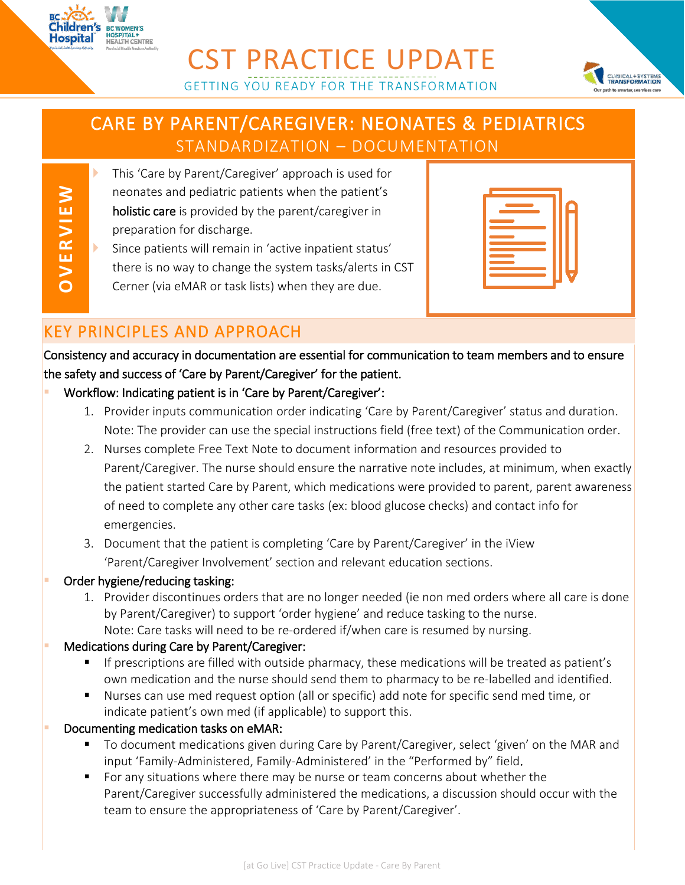



# CARE BY PARENT/CAREGIVER: NEONATES & PEDIATRICS STANDARDIZATION – DOCUMENTATION

GETTING YOU READY FOR THE TRANSFORMATION

**OV ERVIEW**

Hospital

- **This 'Care by Parent/Caregiver' approach is used for** neonates and pediatric patients when the patient's holistic care is provided by the parent/caregiver in preparation for discharge. Since patients will remain in 'active inpatient status'
	- there is no way to change the system tasks/alerts in CST
- Cerner (via eMAR or task lists) when they are due.

| <u> Tanzania (</u>                                                                                                                                                                                                                                         |  |  |
|------------------------------------------------------------------------------------------------------------------------------------------------------------------------------------------------------------------------------------------------------------|--|--|
| the control of the control of the con-                                                                                                                                                                                                                     |  |  |
|                                                                                                                                                                                                                                                            |  |  |
|                                                                                                                                                                                                                                                            |  |  |
|                                                                                                                                                                                                                                                            |  |  |
| $\mathcal{L}^{\text{max}}_{\text{max}}$ and $\mathcal{L}^{\text{max}}_{\text{max}}$ and $\mathcal{L}^{\text{max}}_{\text{max}}$<br>$\mathcal{L}(\mathcal{L})$ and $\mathcal{L}(\mathcal{L})$ and $\mathcal{L}(\mathcal{L})$ and $\mathcal{L}(\mathcal{L})$ |  |  |
| <b>Contract Contract Contract Contract Contract Contract Contract Contract Contract Contract Contract Contract Co</b>                                                                                                                                      |  |  |
|                                                                                                                                                                                                                                                            |  |  |

## KEY PRINCIPLES AND APPROACH

Consistency and accuracy in documentation are essential for communication to team members and to ensure the safety and success of 'Care by Parent/Caregiver' for the patient.

- Workflow: Indicating patient is in 'Care by Parent/Caregiver':
	- 1. Provider inputs communication order indicating 'Care by Parent/Caregiver' status and duration. Note: The provider can use the special instructions field (free text) of the Communication order.
	- 2. Nurses complete Free Text Note to document information and resources provided to Parent/Caregiver. The nurse should ensure the narrative note includes, at minimum, when exactly the patient started Care by Parent, which medications were provided to parent, parent awareness of need to complete any other care tasks (ex: blood glucose checks) and contact info for emergencies.
	- 3. Document that the patient is completing 'Care by Parent/Caregiver' in the iView 'Parent/Caregiver Involvement' section and relevant education sections.
- Order hygiene/reducing tasking:
	- 1. Provider discontinues orders that are no longer needed (ie non med orders where all care is done by Parent/Caregiver) to support 'order hygiene' and reduce tasking to the nurse. Note: Care tasks will need to be re-ordered if/when care is resumed by nursing.

### Medications during Care by Parent/Caregiver:

- If prescriptions are filled with outside pharmacy, these medications will be treated as patient's own medication and the nurse should send them to pharmacy to be re-labelled and identified.
- Nurses can use med request option (all or specific) add note for specific send med time, or indicate patient's own med (if applicable) to support this.
- Documenting medication tasks on eMAR:
	- To document medications given during Care by Parent/Caregiver, select 'given' on the MAR and input 'Family-Administered, Family-Administered' in the "Performed by" field.
	- For any situations where there may be nurse or team concerns about whether the Parent/Caregiver successfully administered the medications, a discussion should occur with the team to ensure the appropriateness of 'Care by Parent/Caregiver'.